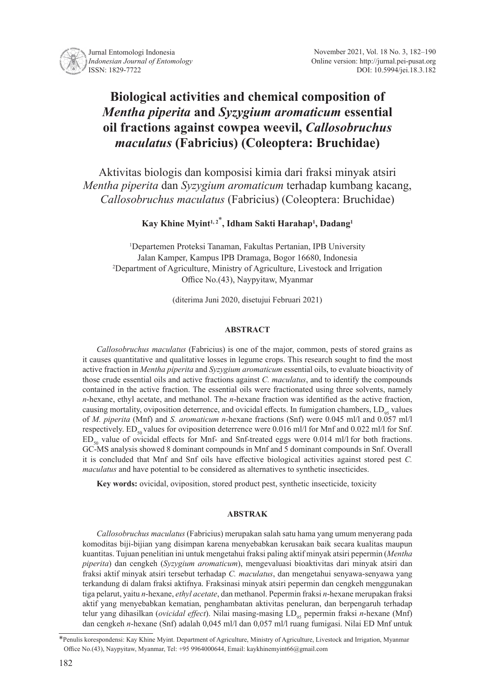

# **Biological activities and chemical composition of**  *Mentha piperita* **and** *Syzygium aromaticum* **essential oil fractions against cowpea weevil,** *Callosobruchus maculatus* **(Fabricius) (Coleoptera: Bruchidae)**

Aktivitas biologis dan komposisi kimia dari fraksi minyak atsiri *Mentha piperita* dan *Syzygium aromaticum* terhadap kumbang kacang, *Callosobruchus maculatus* (Fabricius) (Coleoptera: Bruchidae)

**Kay Khine Myint1, 2**\* **, Idham Sakti Harahap1 , Dadang1**

1 Departemen Proteksi Tanaman, Fakultas Pertanian, IPB University Jalan Kamper, Kampus IPB Dramaga, Bogor 16680, Indonesia 2 Department of Agriculture, Ministry of Agriculture, Livestock and Irrigation Office No.(43), Naypyitaw, Myanmar

(diterima Juni 2020, disetujui Februari 2021)

#### **ABSTRACT**

*Callosobruchus maculatus* (Fabricius) is one of the major, common, pests of stored grains as it causes quantitative and qualitative losses in legume crops. This research sought to find the most active fraction in *Mentha piperita* and *Syzygium aromaticum* essential oils, to evaluate bioactivity of those crude essential oils and active fractions against *C. maculatus*, and to identify the compounds contained in the active fraction. The essential oils were fractionated using three solvents, namely *n*-hexane, ethyl acetate, and methanol. The *n*-hexane fraction was identified as the active fraction, causing mortality, oviposition deterrence, and ovicidal effects. In fumigation chambers,  $LD_{0s}$  values of *M. piperita* (Mnf) and *S. aromaticum n*-hexane fractions (Snf) were 0.045 ml/l and 0.057 ml/l respectively. ED<sub>50</sub> values for oviposition deterrence were 0.016 ml/l for Mnf and 0.022 ml/l for Snf.  $ED_{so}$  value of ovicidal effects for Mnf- and Snf-treated eggs were 0.014 ml/l for both fractions. GC-MS analysis showed 8 dominant compounds in Mnf and 5 dominant compounds in Snf. Overall it is concluded that Mnf and Snf oils have effective biological activities against stored pest *C. maculatus* and have potential to be considered as alternatives to synthetic insecticides.

**Key words:** ovicidal, oviposition, stored product pest, synthetic insecticide, toxicity

## **ABSTRAK**

*Callosobruchus maculatus* (Fabricius) merupakan salah satu hama yang umum menyerang pada komoditas biji-bijian yang disimpan karena menyebabkan kerusakan baik secara kualitas maupun kuantitas. Tujuan penelitian ini untuk mengetahui fraksi paling aktif minyak atsiri pepermin (*Mentha piperita*) dan cengkeh (*Syzygium aromaticum*), mengevaluasi bioaktivitas dari minyak atsiri dan fraksi aktif minyak atsiri tersebut terhadap *C. maculatus*, dan mengetahui senyawa-senyawa yang terkandung di dalam fraksi aktifnya. Fraksinasi minyak atsiri pepermin dan cengkeh menggunakan tiga pelarut, yaitu *n*-hexane, *ethyl acetate*, dan methanol. Pepermin fraksi *n*-hexane merupakan fraksi aktif yang menyebabkan kematian, penghambatan aktivitas peneluran, dan berpengaruh terhadap telur yang dihasilkan (*ovicidal effect*). Nilai masing-masing LD<sub>95</sub> pepermin fraksi *n*-hexane (Mnf) dan cengkeh *n*-hexane (Snf) adalah 0,045 ml/l dan 0,057 ml/l ruang fumigasi. Nilai ED Mnf untuk

<sup>\*</sup>Penulis korespondensi: Kay Khine Myint. Department of Agriculture, Ministry of Agriculture, Livestock and Irrigation, Myanmar Office No.(43), Naypyitaw, Myanmar, Tel: +95 9964000644, Email: kaykhinemyint66@gmail.com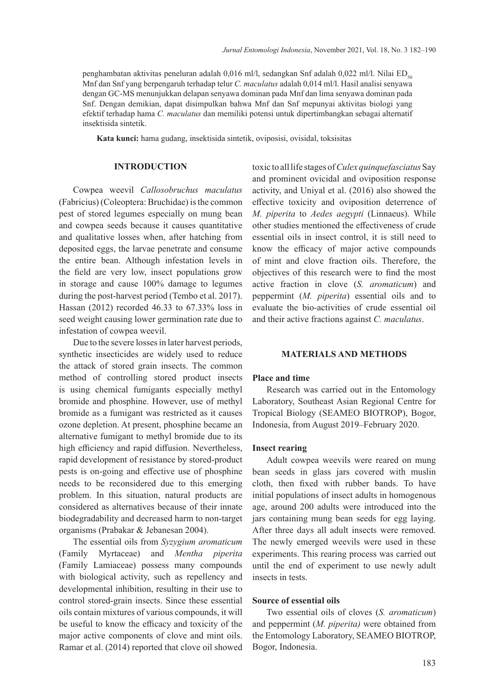penghambatan aktivitas peneluran adalah 0,016 ml/l, sedangkan Snf adalah 0,022 ml/l. Nilai ED<sub>50</sub> Mnf dan Snf yang berpengaruh terhadap telur *C. maculatus* adalah 0,014 ml/l. Hasil analisi senyawa dengan GC-MS menunjukkan delapan senyawa dominan pada Mnf dan lima senyawa dominan pada Snf. Dengan demikian, dapat disimpulkan bahwa Mnf dan Snf mepunyai aktivitas biologi yang efektif terhadap hama *C. maculatus* dan memiliki potensi untuk dipertimbangkan sebagai alternatif insektisida sintetik.

**Kata kunci:** hama gudang, insektisida sintetik, oviposisi, ovisidal, toksisitas

## **INTRODUCTION**

Cowpea weevil *Callosobruchus maculatus* (Fabricius) (Coleoptera: Bruchidae) is the common pest of stored legumes especially on mung bean and cowpea seeds because it causes quantitative and qualitative losses when, after hatching from deposited eggs, the larvae penetrate and consume the entire bean. Although infestation levels in the field are very low, insect populations grow in storage and cause 100% damage to legumes during the post-harvest period (Tembo et al. 2017). Hassan (2012) recorded 46.33 to 67.33% loss in seed weight causing lower germination rate due to infestation of cowpea weevil.

Due to the severe losses in later harvest periods, synthetic insecticides are widely used to reduce the attack of stored grain insects. The common method of controlling stored product insects is using chemical fumigants especially methyl bromide and phosphine. However, use of methyl bromide as a fumigant was restricted as it causes ozone depletion. At present, phosphine became an alternative fumigant to methyl bromide due to its high efficiency and rapid diffusion. Nevertheless, rapid development of resistance by stored-product pests is on-going and effective use of phosphine needs to be reconsidered due to this emerging problem. In this situation, natural products are considered as alternatives because of their innate biodegradability and decreased harm to non-target organisms (Prabakar & Jebanesan 2004).

The essential oils from *Syzygium aromaticum*  (Family Myrtaceae) and *Mentha piperita*  (Family Lamiaceae) possess many compounds with biological activity, such as repellency and developmental inhibition, resulting in their use to control stored-grain insects. Since these essential oils contain mixtures of various compounds, it will be useful to know the efficacy and toxicity of the major active components of clove and mint oils. Ramar et al. (2014) reported that clove oil showed

toxic to all life stages of *Culex quinquefasciatus* Say and prominent ovicidal and oviposition response activity, and Uniyal et al. (2016) also showed the effective toxicity and oviposition deterrence of *M. piperita* to *Aedes aegypti* (Linnaeus). While other studies mentioned the effectiveness of crude essential oils in insect control, it is still need to know the efficacy of major active compounds of mint and clove fraction oils. Therefore, the objectives of this research were to find the most active fraction in clove (*S. aromaticum*) and peppermint (*M. piperita*) essential oils and to evaluate the bio-activities of crude essential oil and their active fractions against *C. maculatus*.

## **MATERIALS AND METHODS**

## **Place and time**

Research was carried out in the Entomology Laboratory, Southeast Asian Regional Centre for Tropical Biology (SEAMEO BIOTROP), Bogor, Indonesia, from August 2019–February 2020.

#### **Insect rearing**

Adult cowpea weevils were reared on mung bean seeds in glass jars covered with muslin cloth, then fixed with rubber bands. To have initial populations of insect adults in homogenous age, around 200 adults were introduced into the jars containing mung bean seeds for egg laying. After three days all adult insects were removed. The newly emerged weevils were used in these experiments. This rearing process was carried out until the end of experiment to use newly adult insects in tests.

## **Source of essential oils**

Two essential oils of cloves (*S. aromaticum*) and peppermint (*M. piperita)* were obtained from the Entomology Laboratory, SEAMEO BIOTROP, Bogor, Indonesia.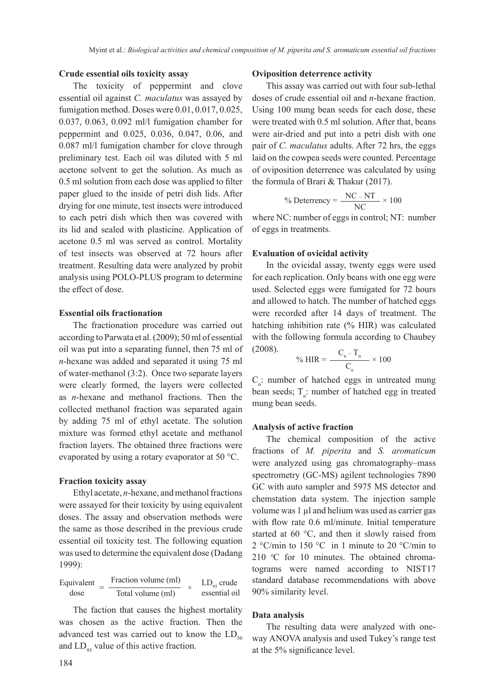## **Crude essential oils toxicity assay**

The toxicity of peppermint and clove essential oil against *C. maculatus* was assayed by fumigation method. Doses were 0.01, 0.017, 0.025, 0.037, 0.063, 0.092 ml/l fumigation chamber for peppermint and 0.025, 0.036, 0.047, 0.06, and 0.087 ml/l fumigation chamber for clove through preliminary test. Each oil was diluted with 5 ml acetone solvent to get the solution. As much as 0.5 ml solution from each dose was applied to filter paper glued to the inside of petri dish lids. After drying for one minute, test insects were introduced to each petri dish which then was covered with its lid and sealed with plasticine. Application of acetone 0.5 ml was served as control. Mortality of test insects was observed at 72 hours after treatment. Resulting data were analyzed by probit analysis using POLO-PLUS program to determine the effect of dose.

## **Essential oils fractionation**

The fractionation procedure was carried out according to Parwata et al. (2009); 50 ml of essential oil was put into a separating funnel, then 75 ml of *n*-hexane was added and separated it using 75 ml of water-methanol (3:2). Once two separate layers were clearly formed, the layers were collected as *n*-hexane and methanol fractions. Then the collected methanol fraction was separated again by adding 75 ml of ethyl acetate. The solution mixture was formed ethyl acetate and methanol fraction layers. The obtained three fractions were evaporated by using a rotary evaporator at 50 °C.

## **Fraction toxicity assay**

Ethyl acetate, *n*-hexane, and methanol fractions were assayed for their toxicity by using equivalent doses. The assay and observation methods were the same as those described in the previous crude essential oil toxicity test. The following equation was used to determine the equivalent dose (Dadang 1999):

$$
Equivalent = \frac{Fraction \, volume \, (ml)}{Total \, volume \, (ml)} \times LD_{95} \, crude \, essential \, oil
$$

The faction that causes the highest mortality was chosen as the active fraction. Then the advanced test was carried out to know the  $LD<sub>50</sub>$ and  $LD_{95}$  value of this active fraction.

#### **Oviposition deterrence activity**

This assay was carried out with four sub-lethal doses of crude essential oil and *n*-hexane fraction. Using 100 mung bean seeds for each dose, these were treated with 0.5 ml solution. After that, beans were air-dried and put into a petri dish with one pair of *C. maculatus* adults. After 72 hrs, the eggs laid on the cowpea seeds were counted. Percentage of oviposition deterrence was calculated by using the formula of Brari & Thakur (2017).

$$
\% \text{ Deterrency} = \frac{\text{NC} - \text{NT}}{\text{NC}} \times 100
$$

where NC: number of eggs in control; NT: number of eggs in treatments.

## **Evaluation of ovicidal activity**

In the ovicidal assay, twenty eggs were used for each replication. Only beans with one egg were used. Selected eggs were fumigated for 72 hours and allowed to hatch. The number of hatched eggs were recorded after 14 days of treatment. The hatching inhibition rate (% HIR) was calculated with the following formula according to Chaubey (2008).

$$
\% \, HIR = \frac{C_n - T_n}{C_n} \times 100
$$

 $C_{n}$ : number of hatched eggs in untreated mung bean seeds;  $T_{n}$ : number of hatched egg in treated mung bean seeds.

## **Analysis of active fraction**

The chemical composition of the active fractions of *M. piperita* and *S. aromaticum* were analyzed using gas chromatography–mass spectrometry (GC-MS) agilent technologies 7890 GC with auto sampler and 5975 MS detector and chemstation data system. The injection sample volume was 1 µl and helium was used as carrier gas with flow rate 0.6 ml/minute. Initial temperature started at 60 °C, and then it slowly raised from 2 °C/min to 150 °C in 1 minute to 20 °C/min to 210 °C for 10 minutes. The obtained chromatograms were named according to NIST17 standard database recommendations with above 90% similarity level.

#### **Data analysis**

The resulting data were analyzed with oneway ANOVA analysis and used Tukey's range test at the 5% significance level.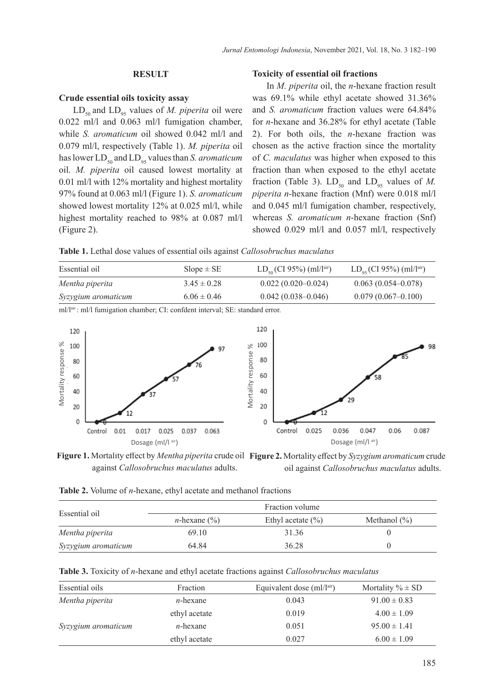## **RESULT**

## **Crude essential oils toxicity assay**

 $LD_{50}$  and  $LD_{95}$  values of *M. piperita* oil were 0.022 ml/l and 0.063 ml/l fumigation chamber, while *S. aromaticum* oil showed 0.042 ml/l and 0.079 ml/l, respectively (Table 1). *M. piperita* oil has lower  $LD_{50}$  and  $LD_{95}$  values than *S. aromaticum* oil. *M. piperita* oil caused lowest mortality at 0.01 ml/l with 12% mortality and highest mortality 97% found at 0.063 ml/l (Figure 1). *S. aromaticum*  showed lowest mortality 12% at 0.025 ml/l, while highest mortality reached to 98% at 0.087 ml/l (Figure 2).

## **Toxicity of essential oil fractions**

In *M. piperita* oil, the *n*-hexane fraction result was 69.1% while ethyl acetate showed 31.36% and *S. aromaticum* fraction values were 64.84% for *n*-hexane and 36.28% for ethyl acetate (Table 2). For both oils, the *n*-hexane fraction was chosen as the active fraction since the mortality of *C. maculatus* was higher when exposed to this fraction than when exposed to the ethyl acetate fraction (Table 3).  $LD_{50}$  and  $LD_{95}$  values of M. *piperita n*-hexane fraction (Mnf) were 0.018 ml/l and 0.045 ml/l fumigation chamber, respectively, whereas *S. aromaticum n*-hexane fraction (Snf) showed 0.029 ml/l and 0.057 ml/l, respectively

**Table 1.** Lethal dose values of essential oils against *Callosobruchus maculatus*

| Essential oil       | $Slope \pm SE$  | $LD_{50}$ (CI 95%) (ml/lair) | $LD_{0.5}$ (CI 95%) (ml/lair) |
|---------------------|-----------------|------------------------------|-------------------------------|
| Mentha piperita     | $3.45 \pm 0.28$ | $0.022(0.020-0.024)$         | $0.063(0.054 - 0.078)$        |
| Syzygium aromaticum | $6.06 \pm 0.46$ | $0.042(0.038 - 0.046)$       | $0.079(0.067-0.100)$          |

ml/lair : ml/l fumigation chamber; CI: confdent interval; SE: standard error.



against *Callosobruchus maculatus* adults.



**Table 2.** Volume of *n*-hexane, ethyl acetate and methanol fractions

|                     |                         | Fraction volume       |                  |
|---------------------|-------------------------|-----------------------|------------------|
| Essential oil       | <i>n</i> -hexane $(\%)$ | Ethyl acetate $(\% )$ | Methanol $(\% )$ |
| Mentha piperita     | 69.10                   | 31.36                 |                  |
| Syzygium aromaticum | 64.84                   | 36.28                 |                  |

|  | <b>Table 3.</b> Toxicity of <i>n</i> -hexane and ethyl acetate fractions against <i>Callosobruchus maculatus</i> |  |  |  |
|--|------------------------------------------------------------------------------------------------------------------|--|--|--|
|  |                                                                                                                  |  |  |  |

| Essential oils      | Fraction      | Equivalent dose $\text{m1}/\text{l}^{\text{air}}$ | Mortality $\% \pm SD$ |
|---------------------|---------------|---------------------------------------------------|-----------------------|
| Mentha piperita     | $n$ -hexane   | 0.043                                             | $91.00 \pm 0.83$      |
|                     | ethyl acetate | 0.019                                             | $4.00 \pm 1.09$       |
| Syzygium aromaticum | $n$ -hexane   | 0.051                                             | $95.00 \pm 1.41$      |
|                     | ethyl acetate | 0.027                                             | $6.00 \pm 1.09$       |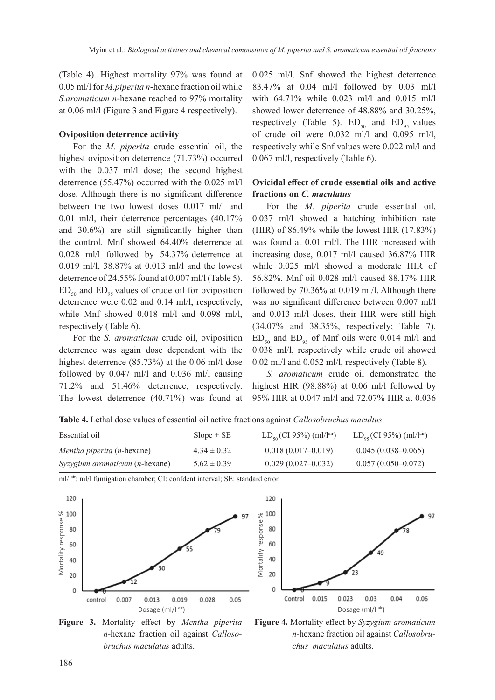(Table 4). Highest mortality 97% was found at 0.05 ml/l for *M.piperita n*-hexane fraction oil while *S.aromaticum n*-hexane reached to 97% mortality at 0.06 ml/l (Figure 3 and Figure 4 respectively).

## **Oviposition deterrence activity**

For the *M. piperita* crude essential oil, the highest oviposition deterrence (71.73%) occurred with the 0.037 ml/l dose; the second highest deterrence (55.47%) occurred with the 0.025 ml/l dose. Although there is no significant difference between the two lowest doses 0.017 ml/l and 0.01 ml/l, their deterrence percentages (40.17% and 30.6%) are still significantly higher than the control. Mnf showed 64.40% deterrence at 0.028 ml/l followed by 54.37% deterrence at 0.019 ml/l, 38.87% at 0.013 ml/l and the lowest deterrence of 24.55% found at 0.007 ml/l (Table 5).  $ED_{50}$  and  $ED_{95}$  values of crude oil for oviposition deterrence were 0.02 and 0.14 ml/l, respectively, while Mnf showed 0.018 ml/l and 0.098 ml/l, respectively (Table 6).

For the *S. aromaticum* crude oil, oviposition deterrence was again dose dependent with the highest deterrence (85.73%) at the 0.06 ml/l dose followed by 0.047 ml/l and 0.036 ml/l causing 71.2% and 51.46% deterrence, respectively. The lowest deterrence (40.71%) was found at 0.025 ml/l. Snf showed the highest deterrence 83.47% at 0.04 ml/l followed by 0.03 ml/l with 64.71% while 0.023 ml/l and 0.015 ml/l showed lower deterrence of 48.88% and 30.25%, respectively (Table 5).  $ED_{50}$  and  $ED_{05}$  values of crude oil were 0.032 ml/l and 0.095 ml/l, respectively while Snf values were 0.022 ml/l and 0.067 ml/l, respectively (Table 6).

# **Ovicidal effect of crude essential oils and active fractions on** *C. maculatus*

For the *M. piperita* crude essential oil, 0.037 ml/l showed a hatching inhibition rate (HIR) of 86.49% while the lowest HIR (17.83%) was found at 0.01 ml/l. The HIR increased with increasing dose, 0.017 ml/l caused 36.87% HIR while 0.025 ml/l showed a moderate HIR of 56.82%. Mnf oil 0.028 ml/l caused 88.17% HIR followed by 70.36% at 0.019 ml/l. Although there was no significant difference between 0.007 ml/l and 0.013 ml/l doses, their HIR were still high (34.07% and 38.35%, respectively; Table 7).  $ED_{50}$  and  $ED_{95}$  of Mnf oils were 0.014 ml/l and 0.038 ml/l, respectively while crude oil showed 0.02 ml/l and 0.052 ml/l, respectively (Table 8).

*S. aromaticum* crude oil demonstrated the highest HIR (98.88%) at 0.06 ml/l followed by 95% HIR at 0.047 ml/l and 72.07% HIR at 0.036

**Table 4.** Lethal dose values of essential oil active fractions against *Callosobruchus macultus*

| Essential oil                     | $Slope \pm SE$  | $LD_{50}$ (CI 95%) (ml/l <sup>air</sup> ) | $LD_{0.5}$ (CI 95%) (ml/lair) |
|-----------------------------------|-----------------|-------------------------------------------|-------------------------------|
| <i>Mentha piperita (n-hexane)</i> | $4.34 \pm 0.32$ | $0.018(0.017-0.019)$                      | $0.045(0.038-0.065)$          |
| $Syzyqium aromaticum (n-hexane)$  | $5.62 \pm 0.39$ | $0.029(0.027-0.032)$                      | $0.057(0.050-0.072)$          |



ml/lair: ml/l fumigation chamber; CI: confdent interval; SE: standard error.

**Figure 3.** Mortality effect by *Mentha piperita n-*hexane fraction oil against *Callosobruchus maculatus* adults.



**Figure 4.** Mortality effect by *Syzygium aromaticum n-*hexane fraction oil against *Callosobruchus maculatus* adults.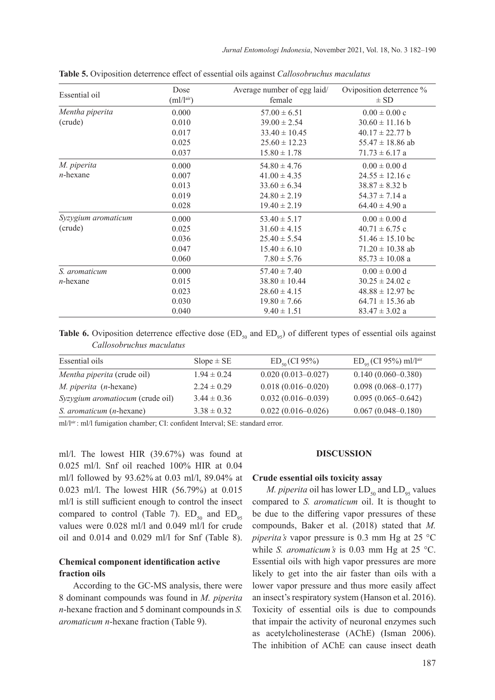| Essential oil       | Dose<br>$\text{(ml/l}^{\text{air}})$ | Average number of egg laid/<br>female | Oviposition deterrence %<br>$\pm$ SD |
|---------------------|--------------------------------------|---------------------------------------|--------------------------------------|
| Mentha piperita     | 0.000                                | $57.00 \pm 6.51$                      | $0.00 \pm 0.00$ c                    |
| (crude)             | 0.010                                | $39.00 \pm 2.54$                      | $30.60 \pm 11.16 b$                  |
|                     | 0.017                                | $33.40 \pm 10.45$                     | $40.17 \pm 22.77$ b                  |
|                     | 0.025                                | $25.60 \pm 12.23$                     | $55.47 \pm 18.86$ ab                 |
|                     | 0.037                                | $15.80 \pm 1.78$                      | $71.73 \pm 6.17$ a                   |
| M. piperita         | 0.000                                | $54.80 \pm 4.76$                      | $0.00 \pm 0.00 d$                    |
| $n$ -hexane         | 0.007                                | $41.00 \pm 4.35$                      | $24.55 \pm 12.16$ c                  |
|                     | 0.013                                | $33.60 \pm 6.34$                      | $38.87 \pm 8.32$ b                   |
|                     | 0.019                                | $24.80 \pm 2.19$                      | $54.37 \pm 7.14$ a                   |
|                     | 0.028                                | $19.40 \pm 2.19$                      | $64.40 \pm 4.90$ a                   |
| Syzygium aromaticum | 0.000                                | $53.40 \pm 5.17$                      | $0.00 \pm 0.00 d$                    |
| (crude)             | 0.025                                | $31.60 \pm 4.15$                      | $40.71 \pm 6.75$ c                   |
|                     | 0.036                                | $25.40 \pm 5.54$                      | $51.46 \pm 15.10$ bc                 |
|                     | 0.047                                | $15.40 \pm 6.10$                      | $71.20 \pm 10.38$ ab                 |
|                     | 0.060                                | $7.80 \pm 5.76$                       | $85.73 \pm 10.08$ a                  |
| S. aromaticum       | 0.000                                | $57.40 \pm 7.40$                      | $0.00 \pm 0.00$ d                    |
| $n$ -hexane         | 0.015                                | $38.80 \pm 10.44$                     | $30.25 \pm 24.02$ c                  |
|                     | 0.023                                | $28.60 \pm 4.15$                      | $48.88 \pm 12.97$ bc                 |
|                     | 0.030                                | $19.80 \pm 7.66$                      | $64.71 \pm 15.36$ ab                 |
|                     | 0.040                                | $9.40 \pm 1.51$                       | $83.47 \pm 3.02$ a                   |

**Table 5.** Oviposition deterrence effect of essential oils against *Callosobruchus maculatus*

Table 6. Oviposition deterrence effective dose (ED<sub>50</sub> and ED<sub>95</sub>) of different types of essential oils against *Callosobruchus maculatus*

| Essential oils                   | $Slope \pm SE$  | $ED_{50}$ (CI 95%)     | $ED_{\alpha s}$ (CI 95%) ml/l <sup>air</sup> |
|----------------------------------|-----------------|------------------------|----------------------------------------------|
| Mentha piperita (crude oil)      | $1.94 \pm 0.24$ | $0.020(0.013 - 0.027)$ | $0.140(0.060 - 0.380)$                       |
| M. piperita (n-hexane)           | $2.24 \pm 0.29$ | $0.018(0.016 - 0.020)$ | $0.098(0.068 - 0.177)$                       |
| Syzygium aromatiocum (crude oil) | $3.44 \pm 0.36$ | $0.032(0.016-0.039)$   | $0.095(0.065-0.642)$                         |
| <i>S. aromaticum (n-hexane)</i>  | $3.38 \pm 0.32$ | $0.022(0.016 - 0.026)$ | $0.067(0.048 - 0.180)$                       |

ml/lair : ml/l fumigation chamber; CI: confident Interval; SE: standard error.

ml/l. The lowest HIR (39.67%) was found at 0.025 ml/l. Snf oil reached 100% HIR at 0.04 ml/l followed by 93.62% at 0.03 ml/l, 89.04% at 0.023 ml/l. The lowest HIR (56.79%) at 0.015 ml/l is still sufficient enough to control the insect compared to control (Table 7).  $ED_{50}$  and  $ED_{05}$ values were 0.028 ml/l and 0.049 ml/l for crude oil and 0.014 and 0.029 ml/l for Snf (Table 8).

# **Chemical component identification active fraction oils**

According to the GC-MS analysis, there were 8 dominant compounds was found in *M. piperita n*-hexane fraction and 5 dominant compounds in *S. aromaticum n*-hexane fraction (Table 9).

## **DISCUSSION**

#### **Crude essential oils toxicity assay**

*M. piperita* oil has lower  $LD_{50}$  and  $LD_{95}$  values compared to *S. aromaticum* oil. It is thought to be due to the differing vapor pressures of these compounds, Baker et al. (2018) stated that *M. piperita's* vapor pressure is 0.3 mm Hg at 25 °C while *S. aromaticum's* is 0.03 mm Hg at 25 °C. Essential oils with high vapor pressures are more likely to get into the air faster than oils with a lower vapor pressure and thus more easily affect an insect's respiratory system (Hanson et al. 2016). Toxicity of essential oils is due to compounds that impair the activity of neuronal enzymes such as acetylcholinesterase (AChE) (Isman 2006). The inhibition of AChE can cause insect death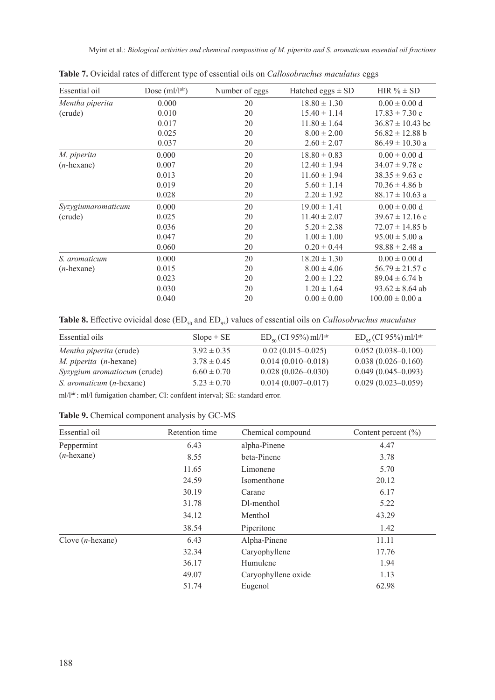| Dose $(ml/lair)$ | Number of eggs | Hatched eggs $\pm$ SD | HIR $% \pm SD$       |
|------------------|----------------|-----------------------|----------------------|
| 0.000            | 20             | $18.80 \pm 1.30$      | $0.00 \pm 0.00$ d    |
| 0.010            | 20             | $15.40 \pm 1.14$      | $17.83 \pm 7.30$ c   |
| 0.017            | 20             | $11.80 \pm 1.64$      | $36.87 \pm 10.43$ bc |
| 0.025            | 20             | $8.00 \pm 2.00$       | $56.82 \pm 12.88$ b  |
| 0.037            | 20             | $2.60 \pm 2.07$       | $86.49 \pm 10.30$ a  |
| 0.000            | 20             | $18.80 \pm 0.83$      | $0.00 \pm 0.00 d$    |
| 0.007            | 20             | $12.40 \pm 1.94$      | $34.07 \pm 9.78$ c   |
| 0.013            | 20             | $11.60 \pm 1.94$      | $38.35 \pm 9.63$ c   |
| 0.019            | 20             | $5.60 \pm 1.14$       | $70.36 \pm 4.86$ b   |
| 0.028            | 20             | $2.20 \pm 1.92$       | $88.17 \pm 10.63$ a  |
| 0.000            | 20             | $19.00 \pm 1.41$      | $0.00 \pm 0.00 d$    |
| 0.025            | 20             | $11.40 \pm 2.07$      | $39.67 \pm 12.16$ c  |
| 0.036            | 20             | $5.20 \pm 2.38$       | $72.07 \pm 14.85$ b  |
| 0.047            | 20             | $1.00 \pm 1.00$       | $95.00 \pm 5.00$ a   |
| 0.060            | 20             | $0.20 \pm 0.44$       | $98.88 \pm 2.48$ a   |
| 0.000            | 20             | $18.20 \pm 1.30$      | $0.00 \pm 0.00$ d    |
| 0.015            | 20             | $8.00 \pm 4.06$       | $56.79 \pm 21.57$ c  |
| 0.023            | 20             | $2.00 \pm 1.22$       | $89.04 \pm 6.74$ b   |
| 0.030            | 20             | $1.20 \pm 1.64$       | $93.62 \pm 8.64$ ab  |
| 0.040            | 20             | $0.00 \pm 0.00$       | $100.00 \pm 0.00$ a  |
|                  |                |                       |                      |

**Table 7.** Ovicidal rates of different type of essential oils on *Callosobruchus maculatus* eggs

**Table 8.** Effective ovicidal dose (ED<sub>50</sub> and ED<sub>95</sub>) values of essential oils on *Callosobruchus maculatus* 

| $Slope \pm SE$  | $ED_{50}$ (CI 95%) ml/lair | $ED_{\alpha s}$ (CI 95%) ml/lair |
|-----------------|----------------------------|----------------------------------|
| $3.92 \pm 0.35$ | $0.02(0.015-0.025)$        | $0.052(0.038 - 0.100)$           |
| $3.78 \pm 0.45$ | $0.014(0.010-0.018)$       | $0.038(0.026 - 0.160)$           |
| $6.60 \pm 0.70$ | $0.028(0.026 - 0.030)$     | $0.049(0.045-0.093)$             |
| $5.23 \pm 0.70$ | $0.014(0.007-0.017)$       | $0.029(0.023 - 0.059)$           |
|                 |                            |                                  |

ml/l<sup>air</sup>: ml/l fumigation chamber; CI: confdent interval; SE: standard error.

**Table 9.** Chemical component analysis by GC-MS

| Essential oil       | Retention time | Chemical compound   | Content percent $(\% )$ |
|---------------------|----------------|---------------------|-------------------------|
| Peppermint          | 6.43           | alpha-Pinene        | 4.47                    |
| $(n$ -hexane)       | 8.55           | beta-Pinene         | 3.78                    |
|                     | 11.65          | Limonene            | 5.70                    |
|                     | 24.59          | Isomenthone         | 20.12                   |
|                     | 30.19          | Carane              | 6.17                    |
|                     | 31.78          | Dl-menthol          | 5.22                    |
|                     | 34.12          | Menthol             | 43.29                   |
|                     | 38.54          | Piperitone          | 1.42                    |
| Clove $(n$ -hexane) | 6.43           | Alpha-Pinene        | 11.11                   |
|                     | 32.34          | Caryophyllene       | 17.76                   |
|                     | 36.17          | Humulene            | 1.94                    |
|                     | 49.07          | Caryophyllene oxide | 1.13                    |
|                     | 51.74          | Eugenol             | 62.98                   |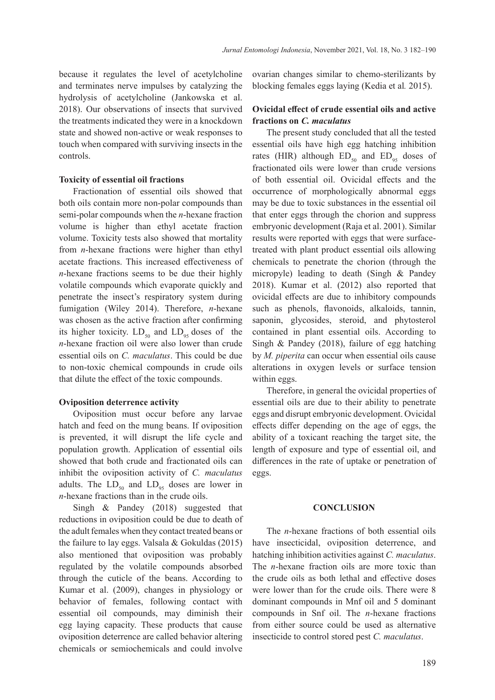because it regulates the level of acetylcholine and terminates nerve impulses by catalyzing the hydrolysis of acetylcholine (Jankowska et al. 2018). Our observations of insects that survived the treatments indicated they were in a knockdown state and showed non-active or weak responses to touch when compared with surviving insects in the controls.

## **Toxicity of essential oil fractions**

Fractionation of essential oils showed that both oils contain more non-polar compounds than semi-polar compounds when the *n*-hexane fraction volume is higher than ethyl acetate fraction volume. Toxicity tests also showed that mortality from *n*-hexane fractions were higher than ethyl acetate fractions. This increased effectiveness of *n*-hexane fractions seems to be due their highly volatile compounds which evaporate quickly and penetrate the insect's respiratory system during fumigation (Wiley 2014). Therefore, *n*-hexane was chosen as the active fraction after confirming its higher toxicity.  $LD_{50}$  and  $LD_{05}$  doses of the *n*-hexane fraction oil were also lower than crude essential oils on *C. maculatus*. This could be due to non-toxic chemical compounds in crude oils that dilute the effect of the toxic compounds.

#### **Oviposition deterrence activity**

Oviposition must occur before any larvae hatch and feed on the mung beans. If oviposition is prevented, it will disrupt the life cycle and population growth. Application of essential oils showed that both crude and fractionated oils can inhibit the oviposition activity of *C. maculatus* adults. The  $LD_{50}$  and  $LD_{95}$  doses are lower in *n*-hexane fractions than in the crude oils.

Singh & Pandey (2018) suggested that reductions in oviposition could be due to death of the adult females when they contact treated beans or the failure to lay eggs. Valsala & Gokuldas (2015) also mentioned that oviposition was probably regulated by the volatile compounds absorbed through the cuticle of the beans. According to Kumar et al. (2009), changes in physiology or behavior of females, following contact with essential oil compounds, may diminish their egg laying capacity. These products that cause oviposition deterrence are called behavior altering chemicals or semiochemicals and could involve

ovarian changes similar to chemo-sterilizants by blocking females eggs laying (Kedia et al*.* 2015).

## **Ovicidal effect of crude essential oils and active fractions on** *C. maculatus*

The present study concluded that all the tested essential oils have high egg hatching inhibition rates (HIR) although  $ED_{50}$  and  $ED_{95}$  doses of fractionated oils were lower than crude versions of both essential oil. Ovicidal effects and the occurrence of morphologically abnormal eggs may be due to toxic substances in the essential oil that enter eggs through the chorion and suppress embryonic development (Raja et al. 2001). Similar results were reported with eggs that were surfacetreated with plant product essential oils allowing chemicals to penetrate the chorion (through the micropyle) leading to death (Singh & Pandey 2018). Kumar et al. (2012) also reported that ovicidal effects are due to inhibitory compounds such as phenols, flavonoids, alkaloids, tannin, saponin, glycosides, steroid, and phytosterol contained in plant essential oils. According to Singh & Pandey (2018), failure of egg hatching by *M. piperita* can occur when essential oils cause alterations in oxygen levels or surface tension within eggs.

Therefore, in general the ovicidal properties of essential oils are due to their ability to penetrate eggs and disrupt embryonic development. Ovicidal effects differ depending on the age of eggs, the ability of a toxicant reaching the target site, the length of exposure and type of essential oil, and differences in the rate of uptake or penetration of eggs.

## **CONCLUSION**

The *n*-hexane fractions of both essential oils have insecticidal, oviposition deterrence, and hatching inhibition activities against *C. maculatus*. The *n*-hexane fraction oils are more toxic than the crude oils as both lethal and effective doses were lower than for the crude oils. There were 8 dominant compounds in Mnf oil and 5 dominant compounds in Snf oil. The *n*-hexane fractions from either source could be used as alternative insecticide to control stored pest *C. maculatus*.